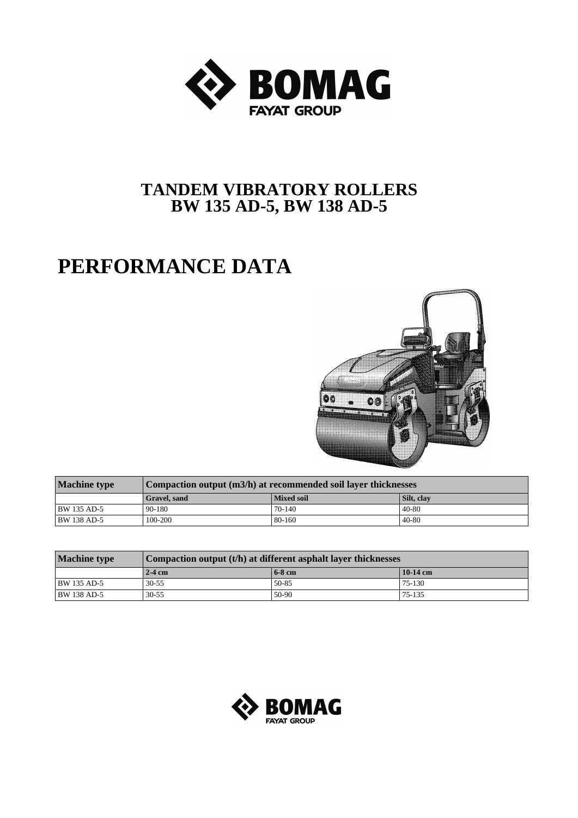

## **TANDEM VIBRATORY ROLLERS BW 135 AD-5, BW 138 AD-5**

## **PERFORMANCE DATA**



| <b>Machine type</b> | Compaction output (m3/h) at recommended soil layer thicknesses |                   |            |  |  |  |  |  |  |
|---------------------|----------------------------------------------------------------|-------------------|------------|--|--|--|--|--|--|
|                     | <b>Gravel</b> , sand                                           | <b>Mixed soil</b> | Silt, clay |  |  |  |  |  |  |
| BW 135 AD-5         | 90-180                                                         | 70-140            | $40 - 80$  |  |  |  |  |  |  |
| <b>BW 138 AD-5</b>  | 100-200                                                        | 80-160            | $40 - 80$  |  |  |  |  |  |  |

| <b>Machine type</b> | Compaction output $(t/h)$ at different asphalt layer thicknesses |          |            |  |  |  |  |  |  |
|---------------------|------------------------------------------------------------------|----------|------------|--|--|--|--|--|--|
|                     | $\sqrt{2-4}$ cm                                                  | $6-8$ cm | $10-14$ cm |  |  |  |  |  |  |
| BW 135 AD-5         | $30 - 55$                                                        | 50-85    | 75-130     |  |  |  |  |  |  |
| <b>BW 138 AD-5</b>  | $30 - 55$                                                        | 50-90    | 75-135     |  |  |  |  |  |  |